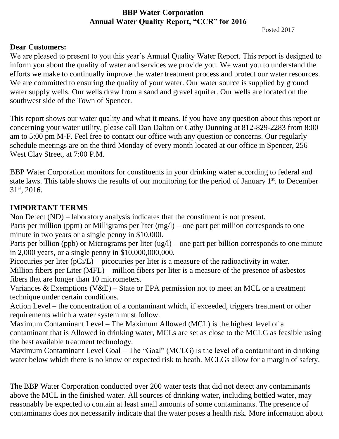## **BBP Water Corporation Annual Water Quality Report, "CCR" for 2016**

Posted 2017

## **Dear Customers:**

We are pleased to present to you this year's Annual Quality Water Report. This report is designed to inform you about the quality of water and services we provide you. We want you to understand the efforts we make to continually improve the water treatment process and protect our water resources. We are committed to ensuring the quality of your water. Our water source is supplied by ground water supply wells. Our wells draw from a sand and gravel aquifer. Our wells are located on the southwest side of the Town of Spencer.

This report shows our water quality and what it means. If you have any question about this report or concerning your water utility, please call Dan Dalton or Cathy Dunning at 812-829-2283 from 8:00 am to 5:00 pm M-F. Feel free to contact our office with any question or concerns. Our regularly schedule meetings are on the third Monday of every month located at our office in Spencer, 256 West Clay Street, at 7:00 P.M.

BBP Water Corporation monitors for constituents in your drinking water according to federal and state laws. This table shows the results of our monitoring for the period of January 1<sup>st</sup>, to December 31st, 2016.

## **IMPORTANT TERMS**

Non Detect (ND) – laboratory analysis indicates that the constituent is not present.

Parts per million (ppm) or Milligrams per liter (mg/l) – one part per million corresponds to one minute in two years or a single penny in \$10,000.

Parts per billion (ppb) or Micrograms per liter (ug/l) – one part per billion corresponds to one minute in 2,000 years, or a single penny in \$10,000,000,000.

Picocuries per liter (pCi/L) – picocuries per liter is a measure of the radioactivity in water. Million fibers per Liter (MFL) – million fibers per liter is a measure of the presence of asbestos fibers that are longer than 10 micrometers.

Variances & Exemptions (V&E) – State or EPA permission not to meet an MCL or a treatment technique under certain conditions.

Action Level – the concentration of a contaminant which, if exceeded, triggers treatment or other requirements which a water system must follow.

Maximum Contaminant Level – The Maximum Allowed (MCL) is the highest level of a contaminant that is Allowed in drinking water, MCLs are set as close to the MCLG as feasible using the best available treatment technology.

Maximum Contaminant Level Goal – The "Goal" (MCLG) is the level of a contaminant in drinking water below which there is no know or expected risk to heath. MCLGs allow for a margin of safety.

The BBP Water Corporation conducted over 200 water tests that did not detect any contaminants above the MCL in the finished water. All sources of drinking water, including bottled water, may reasonably be expected to contain at least small amounts of some contaminants. The presence of contaminants does not necessarily indicate that the water poses a health risk. More information about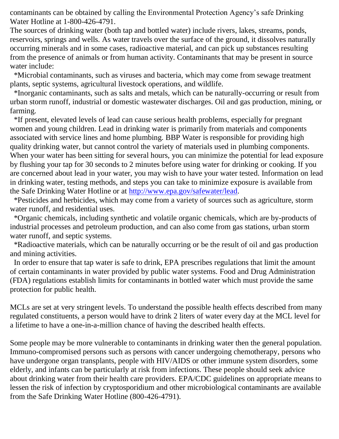contaminants can be obtained by calling the Environmental Protection Agency's safe Drinking Water Hotline at 1-800-426-4791.

The sources of drinking water (both tap and bottled water) include rivers, lakes, streams, ponds, reservoirs, springs and wells. As water travels over the surface of the ground, it dissolves naturally occurring minerals and in some cases, radioactive material, and can pick up substances resulting from the presence of animals or from human activity. Contaminants that may be present in source water include:

 \*Microbial contaminants, such as viruses and bacteria, which may come from sewage treatment plants, septic systems, agricultural livestock operations, and wildlife.

 \*Inorganic contaminants, such as salts and metals, which can be naturally-occurring or result from urban storm runoff, industrial or domestic wastewater discharges. Oil and gas production, mining, or farming.

 \*If present, elevated levels of lead can cause serious health problems, especially for pregnant women and young children. Lead in drinking water is primarily from materials and components associated with service lines and home plumbing. BBP Water is responsible for providing high quality drinking water, but cannot control the variety of materials used in plumbing components. When your water has been sitting for several hours, you can minimize the potential for lead exposure by flushing your tap for 30 seconds to 2 minutes before using water for drinking or cooking. If you are concerned about lead in your water, you may wish to have your water tested. Information on lead in drinking water, testing methods, and steps you can take to minimize exposure is available from the Safe Drinking Water Hotline or at [http://www.epa.gov/safewater/lead.](http://www.epa.gov/safewater/lead)

 \*Pesticides and herbicides, which may come from a variety of sources such as agriculture, storm water runoff, and residential uses.

 \*Organic chemicals, including synthetic and volatile organic chemicals, which are by-products of industrial processes and petroleum production, and can also come from gas stations, urban storm water runoff, and septic systems.

 \*Radioactive materials, which can be naturally occurring or be the result of oil and gas production and mining activities.

 In order to ensure that tap water is safe to drink, EPA prescribes regulations that limit the amount of certain contaminants in water provided by public water systems. Food and Drug Administration (FDA) regulations establish limits for contaminants in bottled water which must provide the same protection for public health.

MCLs are set at very stringent levels. To understand the possible health effects described from many regulated constituents, a person would have to drink 2 liters of water every day at the MCL level for a lifetime to have a one-in-a-million chance of having the described health effects.

Some people may be more vulnerable to contaminants in drinking water then the general population. Immuno-compromised persons such as persons with cancer undergoing chemotherapy, persons who have undergone organ transplants, people with HIV/AIDS or other immune system disorders, some elderly, and infants can be particularly at risk from infections. These people should seek advice about drinking water from their health care providers. EPA/CDC guidelines on appropriate means to lessen the risk of infection by cryptosporidium and other microbiological contaminants are available from the Safe Drinking Water Hotline (800-426-4791).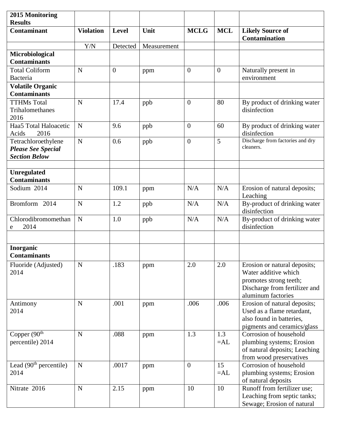| 2015 Monitoring<br><b>Results</b>                                        |                  |                  |             |                |              |                                                                                                                                       |
|--------------------------------------------------------------------------|------------------|------------------|-------------|----------------|--------------|---------------------------------------------------------------------------------------------------------------------------------------|
| <b>Contaminant</b>                                                       | <b>Violation</b> | Level            | Unit        | <b>MCLG</b>    | <b>MCL</b>   | <b>Likely Source of</b><br>Contamination                                                                                              |
|                                                                          | Y/N              | Detected         | Measurement |                |              |                                                                                                                                       |
| Microbiological                                                          |                  |                  |             |                |              |                                                                                                                                       |
| <b>Contaminants</b>                                                      |                  |                  |             |                |              |                                                                                                                                       |
| <b>Total Coliform</b><br>Bacteria                                        | N                | $\boldsymbol{0}$ | ppm         | $\mathbf{0}$   | $\mathbf{0}$ | Naturally present in<br>environment                                                                                                   |
| <b>Volatile Organic</b>                                                  |                  |                  |             |                |              |                                                                                                                                       |
| <b>Contaminants</b>                                                      |                  |                  |             |                |              |                                                                                                                                       |
| <b>TTHMs Total</b><br>Trihalomethanes<br>2016                            | N                | 17.4             | ppb         | $\overline{0}$ | 80           | By product of drinking water<br>disinfection                                                                                          |
| Haa5 Total Haloacetic<br>2016<br>Acids                                   | $\mathbf N$      | 9.6              | ppb         | $\overline{0}$ | 60           | By product of drinking water<br>disinfection                                                                                          |
| Tetrachloroethylene<br><b>Please See Special</b><br><b>Section Below</b> | N                | 0.6              | ppb         | $\overline{0}$ | 5            | Discharge from factories and dry<br>cleaners.                                                                                         |
| <b>Unregulated</b><br><b>Contaminants</b>                                |                  |                  |             |                |              |                                                                                                                                       |
| Sodium 2014                                                              | N                | 109.1            | ppm         | N/A            | N/A          | Erosion of natural deposits;<br>Leaching                                                                                              |
| Bromform 2014                                                            | N                | 1.2              | ppb         | N/A            | N/A          | By-product of drinking water<br>disinfection                                                                                          |
| Chlorodibromomethan<br>2014<br>e                                         | $\mathbf N$      | 1.0              | ppb         | N/A            | N/A          | By-product of drinking water<br>disinfection                                                                                          |
|                                                                          |                  |                  |             |                |              |                                                                                                                                       |
| Inorganic<br><b>Contaminants</b>                                         |                  |                  |             |                |              |                                                                                                                                       |
| Fluoride (Adjusted)<br>2014                                              | ${\bf N}$        | .183             | ppm         | 2.0            | 2.0          | Erosion or natural deposits;<br>Water additive which<br>promotes strong teeth;<br>Discharge from fertilizer and<br>aluminum factories |
| Antimony<br>2014                                                         | ${\bf N}$        | .001             | ppm         | .006           | .006         | Erosion of natural deposits;<br>Used as a flame retardant,<br>also found in batteries,<br>pigments and ceramics/glass                 |
| Copper (90 <sup>th</sup><br>percentile) 2014                             | ${\bf N}$        | .088             | ppm         | 1.3            | 1.3<br>$=AL$ | Corrosion of household<br>plumbing systems; Erosion<br>of natural deposits; Leaching<br>from wood preservatives                       |
| Lead $(90th$ percentile)<br>2014                                         | ${\bf N}$        | .0017            | ppm         | $\overline{0}$ | 15<br>$=AL$  | Corrosion of household<br>plumbing systems; Erosion<br>of natural deposits                                                            |
| Nitrate 2016                                                             | ${\bf N}$        | 2.15             | ppm         | 10             | 10           | Runoff from fertilizer use;<br>Leaching from septic tanks;<br>Sewage; Erosion of natural                                              |